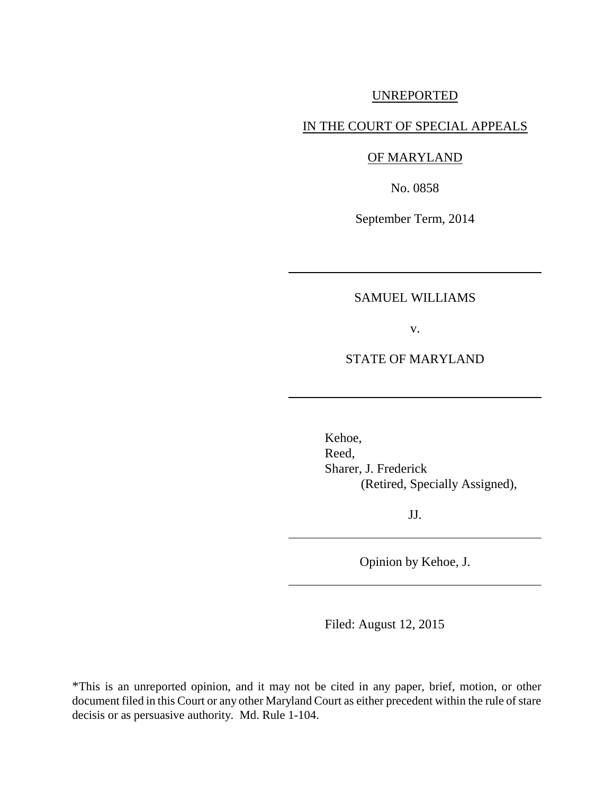## UNREPORTED

# IN THE COURT OF SPECIAL APPEALS

# OF MARYLAND

No. 0858

September Term, 2014

## SAMUEL WILLIAMS

v.

### STATE OF MARYLAND

Kehoe, Reed, Sharer, J. Frederick (Retired, Specially Assigned),

JJ.

Opinion by Kehoe, J.

Filed: August 12, 2015

\*This is an unreported opinion, and it may not be cited in any paper, brief, motion, or other document filed in this Court or any other Maryland Court as either precedent within the rule of stare decisis or as persuasive authority. Md. Rule 1-104.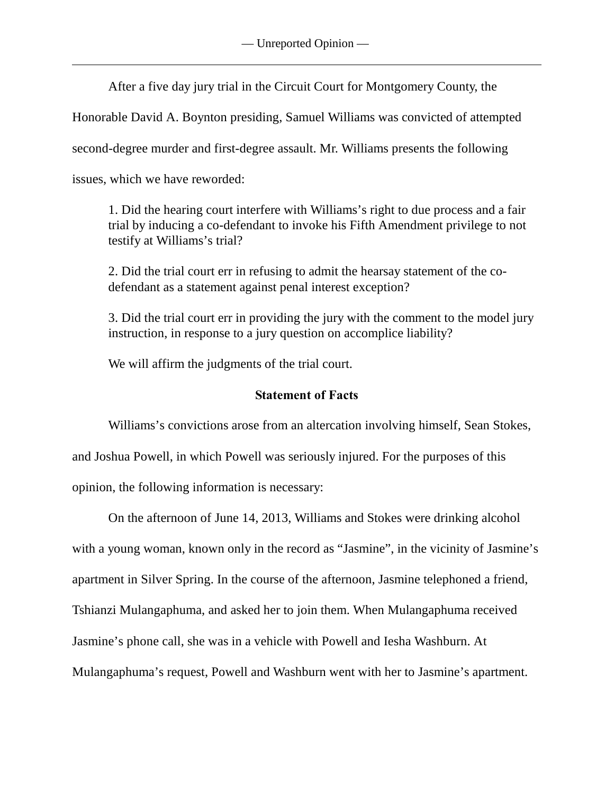After a five day jury trial in the Circuit Court for Montgomery County, the

Honorable David A. Boynton presiding, Samuel Williams was convicted of attempted

second-degree murder and first-degree assault. Mr. Williams presents the following

issues, which we have reworded:

1. Did the hearing court interfere with Williams's right to due process and a fair trial by inducing a co-defendant to invoke his Fifth Amendment privilege to not testify at Williams's trial?

2. Did the trial court err in refusing to admit the hearsay statement of the codefendant as a statement against penal interest exception?

3. Did the trial court err in providing the jury with the comment to the model jury instruction, in response to a jury question on accomplice liability?

We will affirm the judgments of the trial court.

# **Statement of Facts**

Williams's convictions arose from an altercation involving himself, Sean Stokes, and Joshua Powell, in which Powell was seriously injured. For the purposes of this opinion, the following information is necessary:

On the afternoon of June 14, 2013, Williams and Stokes were drinking alcohol with a young woman, known only in the record as "Jasmine", in the vicinity of Jasmine's apartment in Silver Spring. In the course of the afternoon, Jasmine telephoned a friend, Tshianzi Mulangaphuma, and asked her to join them. When Mulangaphuma received Jasmine's phone call, she was in a vehicle with Powell and Iesha Washburn. At Mulangaphuma's request, Powell and Washburn went with her to Jasmine's apartment.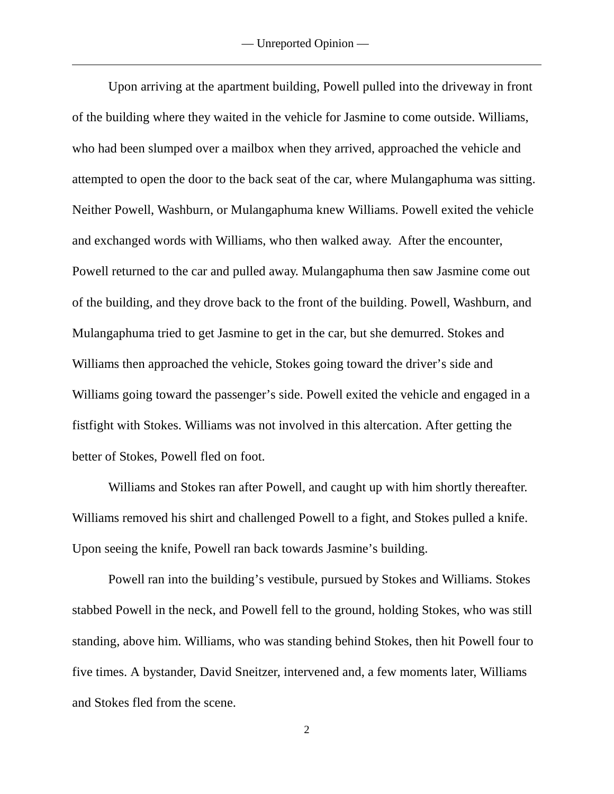Upon arriving at the apartment building, Powell pulled into the driveway in front of the building where they waited in the vehicle for Jasmine to come outside. Williams, who had been slumped over a mailbox when they arrived, approached the vehicle and attempted to open the door to the back seat of the car, where Mulangaphuma was sitting. Neither Powell, Washburn, or Mulangaphuma knew Williams. Powell exited the vehicle and exchanged words with Williams, who then walked away. After the encounter, Powell returned to the car and pulled away. Mulangaphuma then saw Jasmine come out of the building, and they drove back to the front of the building. Powell, Washburn, and Mulangaphuma tried to get Jasmine to get in the car, but she demurred. Stokes and Williams then approached the vehicle, Stokes going toward the driver's side and Williams going toward the passenger's side. Powell exited the vehicle and engaged in a fistfight with Stokes. Williams was not involved in this altercation. After getting the better of Stokes, Powell fled on foot.

Williams and Stokes ran after Powell, and caught up with him shortly thereafter. Williams removed his shirt and challenged Powell to a fight, and Stokes pulled a knife. Upon seeing the knife, Powell ran back towards Jasmine's building.

Powell ran into the building's vestibule, pursued by Stokes and Williams. Stokes stabbed Powell in the neck, and Powell fell to the ground, holding Stokes, who was still standing, above him. Williams, who was standing behind Stokes, then hit Powell four to five times. A bystander, David Sneitzer, intervened and, a few moments later, Williams and Stokes fled from the scene.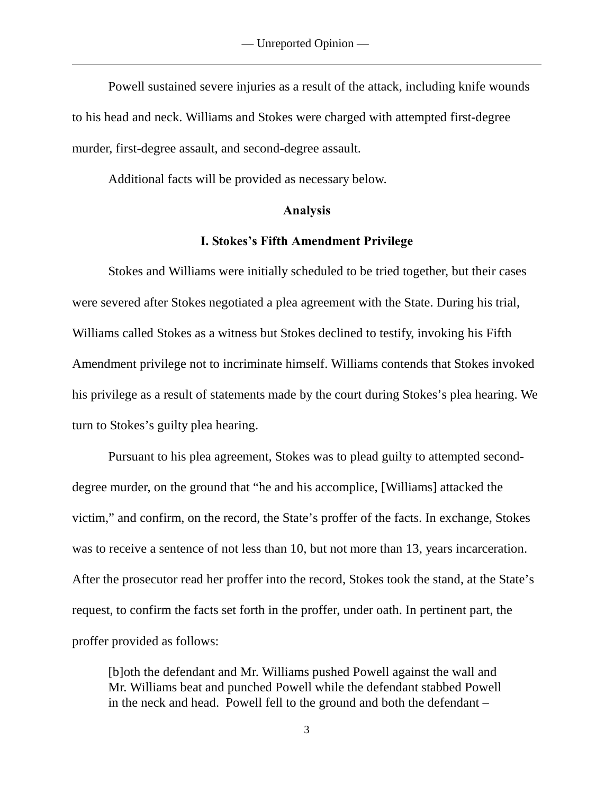Powell sustained severe injuries as a result of the attack, including knife wounds to his head and neck. Williams and Stokes were charged with attempted first-degree murder, first-degree assault, and second-degree assault.

Additional facts will be provided as necessary below.

#### **Analysis**

#### **I. Stokes's Fifth Amendment Privilege**

Stokes and Williams were initially scheduled to be tried together, but their cases were severed after Stokes negotiated a plea agreement with the State. During his trial, Williams called Stokes as a witness but Stokes declined to testify, invoking his Fifth Amendment privilege not to incriminate himself. Williams contends that Stokes invoked his privilege as a result of statements made by the court during Stokes's plea hearing. We turn to Stokes's guilty plea hearing.

Pursuant to his plea agreement, Stokes was to plead guilty to attempted seconddegree murder, on the ground that "he and his accomplice, [Williams] attacked the victim," and confirm, on the record, the State's proffer of the facts. In exchange, Stokes was to receive a sentence of not less than 10, but not more than 13, years incarceration. After the prosecutor read her proffer into the record, Stokes took the stand, at the State's request, to confirm the facts set forth in the proffer, under oath. In pertinent part, the proffer provided as follows:

[b]oth the defendant and Mr. Williams pushed Powell against the wall and Mr. Williams beat and punched Powell while the defendant stabbed Powell in the neck and head. Powell fell to the ground and both the defendant –

3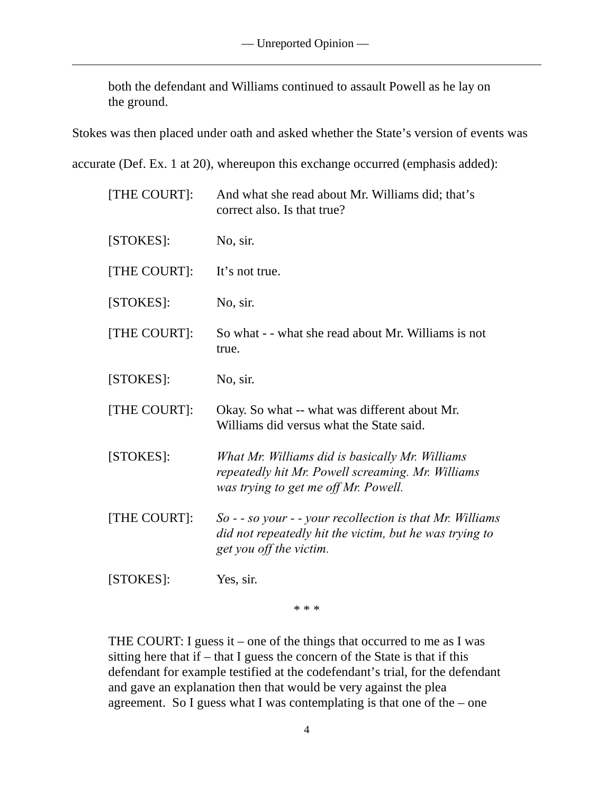both the defendant and Williams continued to assault Powell as he lay on the ground.

Stokes was then placed under oath and asked whether the State's version of events was

accurate (Def. Ex. 1 at 20), whereupon this exchange occurred (emphasis added):

| [THE COURT]: | And what she read about Mr. Williams did; that's<br>correct also. Is that true?                                                                 |
|--------------|-------------------------------------------------------------------------------------------------------------------------------------------------|
| [STOKES]:    | No, sir.                                                                                                                                        |
| [THE COURT]: | It's not true.                                                                                                                                  |
| [STOKES]:    | No, sir.                                                                                                                                        |
| [THE COURT]: | So what - - what she read about Mr. Williams is not<br>true.                                                                                    |
| [STOKES]:    | No, sir.                                                                                                                                        |
| [THE COURT]: | Okay. So what -- what was different about Mr.<br>Williams did versus what the State said.                                                       |
| [STOKES]:    | What Mr. Williams did is basically Mr. Williams<br>repeatedly hit Mr. Powell screaming. Mr. Williams<br>was trying to get me off Mr. Powell.    |
| [THE COURT]: | $So - so your - your rec collection is that Mr. Williams$<br>did not repeatedly hit the victim, but he was trying to<br>get you off the victim. |
| [STOKES]:    | Yes, sir.                                                                                                                                       |

\* \* \*

THE COURT: I guess it – one of the things that occurred to me as I was sitting here that if  $-$  that I guess the concern of the State is that if this defendant for example testified at the codefendant's trial, for the defendant and gave an explanation then that would be very against the plea agreement. So I guess what I was contemplating is that one of the – one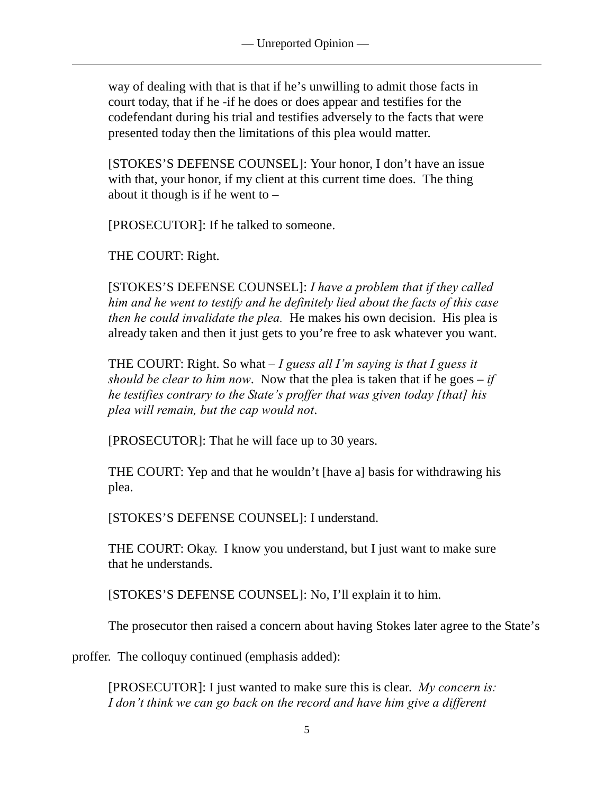way of dealing with that is that if he's unwilling to admit those facts in court today, that if he -if he does or does appear and testifies for the codefendant during his trial and testifies adversely to the facts that were presented today then the limitations of this plea would matter.

[STOKES'S DEFENSE COUNSEL]: Your honor, I don't have an issue with that, your honor, if my client at this current time does. The thing about it though is if he went to  $-$ 

[PROSECUTOR]: If he talked to someone.

THE COURT: Right.

[STOKES'S DEFENSE COUNSEL]: *I have a problem that if they called him and he went to testify and he definitely lied about the facts of this case then he could invalidate the plea.* He makes his own decision. His plea is already taken and then it just gets to you're free to ask whatever you want.

THE COURT: Right. So what – *I guess all I'm saying is that I guess it should be clear to him now*. Now that the plea is taken that if he goes – *if he testifies contrary to the State's proffer that was given today [that] his plea will remain, but the cap would not*.

[PROSECUTOR]: That he will face up to 30 years.

THE COURT: Yep and that he wouldn't [have a] basis for withdrawing his plea.

[STOKES'S DEFENSE COUNSEL]: I understand.

THE COURT: Okay. I know you understand, but I just want to make sure that he understands.

[STOKES'S DEFENSE COUNSEL]: No, I'll explain it to him.

The prosecutor then raised a concern about having Stokes later agree to the State's

proffer. The colloquy continued (emphasis added):

[PROSECUTOR]: I just wanted to make sure this is clear. *My concern is: I don't think we can go back on the record and have him give a different*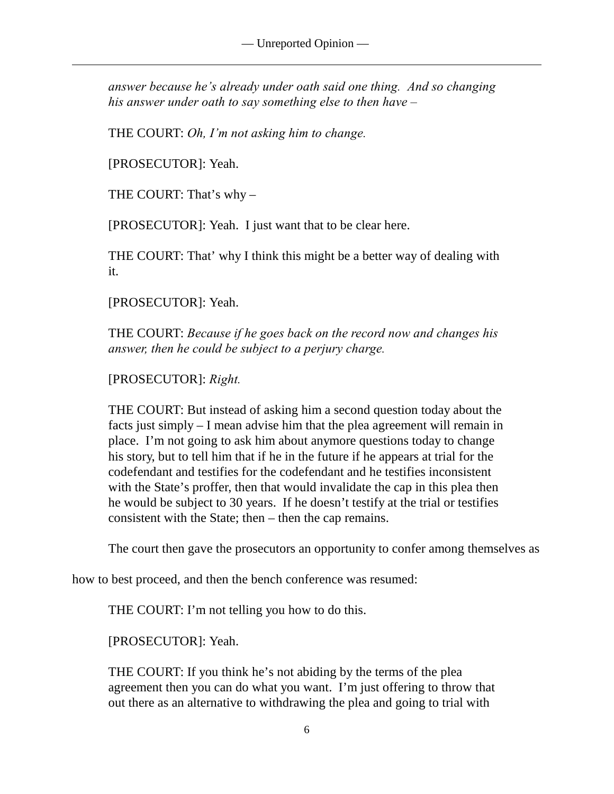*answer because he's already under oath said one thing. And so changing his answer under oath to say something else to then have –*

THE COURT: *Oh, I'm not asking him to change.*

[PROSECUTOR]: Yeah.

THE COURT: That's why –

[PROSECUTOR]: Yeah. I just want that to be clear here.

THE COURT: That' why I think this might be a better way of dealing with it.

[PROSECUTOR]: Yeah.

THE COURT: *Because if he goes back on the record now and changes his answer, then he could be subject to a perjury charge.*

[PROSECUTOR]: *Right.*

THE COURT: But instead of asking him a second question today about the facts just simply – I mean advise him that the plea agreement will remain in place. I'm not going to ask him about anymore questions today to change his story, but to tell him that if he in the future if he appears at trial for the codefendant and testifies for the codefendant and he testifies inconsistent with the State's proffer, then that would invalidate the cap in this plea then he would be subject to 30 years. If he doesn't testify at the trial or testifies consistent with the State; then – then the cap remains.

The court then gave the prosecutors an opportunity to confer among themselves as

how to best proceed, and then the bench conference was resumed:

THE COURT: I'm not telling you how to do this.

[PROSECUTOR]: Yeah.

THE COURT: If you think he's not abiding by the terms of the plea agreement then you can do what you want. I'm just offering to throw that out there as an alternative to withdrawing the plea and going to trial with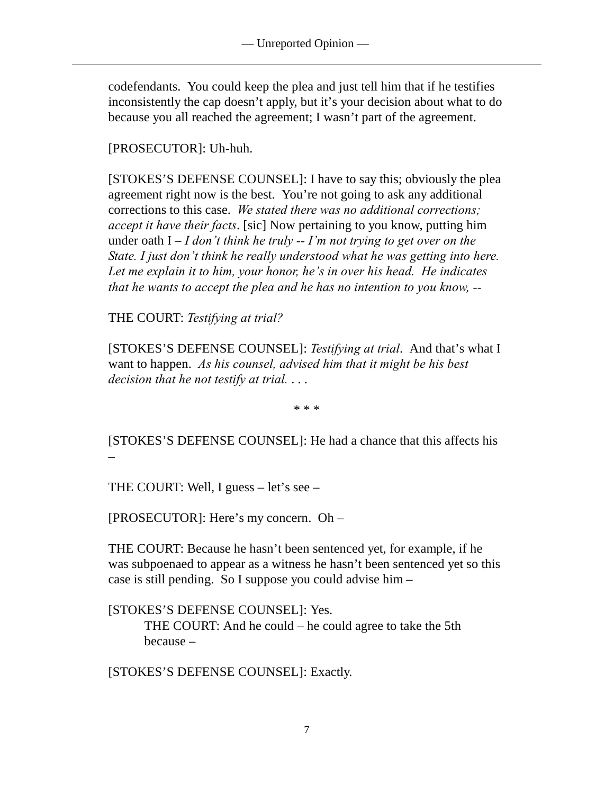codefendants. You could keep the plea and just tell him that if he testifies inconsistently the cap doesn't apply, but it's your decision about what to do because you all reached the agreement; I wasn't part of the agreement.

[PROSECUTOR]: Uh-huh.

[STOKES'S DEFENSE COUNSEL]: I have to say this; obviously the plea agreement right now is the best. You're not going to ask any additional corrections to this case. *We stated there was no additional corrections; accept it have their facts*. [sic] Now pertaining to you know, putting him under oath I – *I don't think he truly -- I'm not trying to get over on the State. I just don't think he really understood what he was getting into here. Let me explain it to him, your honor, he's in over his head. He indicates that he wants to accept the plea and he has no intention to you know, --*

THE COURT: *Testifying at trial?*

[STOKES'S DEFENSE COUNSEL]: *Testifying at trial*. And that's what I want to happen. *As his counsel, advised him that it might be his best decision that he not testify at trial.* . . .

\* \* \*

[STOKES'S DEFENSE COUNSEL]: He had a chance that this affects his –

THE COURT: Well, I guess – let's see –

[PROSECUTOR]: Here's my concern. Oh –

THE COURT: Because he hasn't been sentenced yet, for example, if he was subpoenaed to appear as a witness he hasn't been sentenced yet so this case is still pending. So I suppose you could advise him –

[STOKES'S DEFENSE COUNSEL]: Yes. THE COURT: And he could – he could agree to take the 5th because –

[STOKES'S DEFENSE COUNSEL]: Exactly.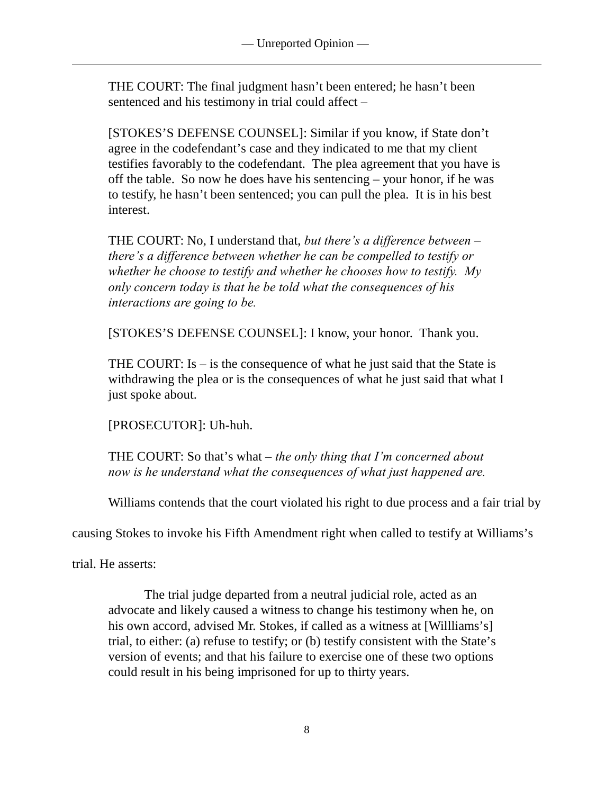THE COURT: The final judgment hasn't been entered; he hasn't been sentenced and his testimony in trial could affect –

[STOKES'S DEFENSE COUNSEL]: Similar if you know, if State don't agree in the codefendant's case and they indicated to me that my client testifies favorably to the codefendant. The plea agreement that you have is off the table. So now he does have his sentencing – your honor, if he was to testify, he hasn't been sentenced; you can pull the plea. It is in his best interest.

THE COURT: No, I understand that, *but there's a difference between – there's a difference between whether he can be compelled to testify or whether he choose to testify and whether he chooses how to testify. My only concern today is that he be told what the consequences of his interactions are going to be.* 

[STOKES'S DEFENSE COUNSEL]: I know, your honor. Thank you.

THE COURT: Is – is the consequence of what he just said that the State is withdrawing the plea or is the consequences of what he just said that what I just spoke about.

[PROSECUTOR]: Uh-huh.

THE COURT: So that's what – *the only thing that I'm concerned about now is he understand what the consequences of what just happened are.* 

Williams contends that the court violated his right to due process and a fair trial by

causing Stokes to invoke his Fifth Amendment right when called to testify at Williams's

trial. He asserts:

The trial judge departed from a neutral judicial role, acted as an advocate and likely caused a witness to change his testimony when he, on his own accord, advised Mr. Stokes, if called as a witness at [Willliams's] trial, to either: (a) refuse to testify; or (b) testify consistent with the State's version of events; and that his failure to exercise one of these two options could result in his being imprisoned for up to thirty years.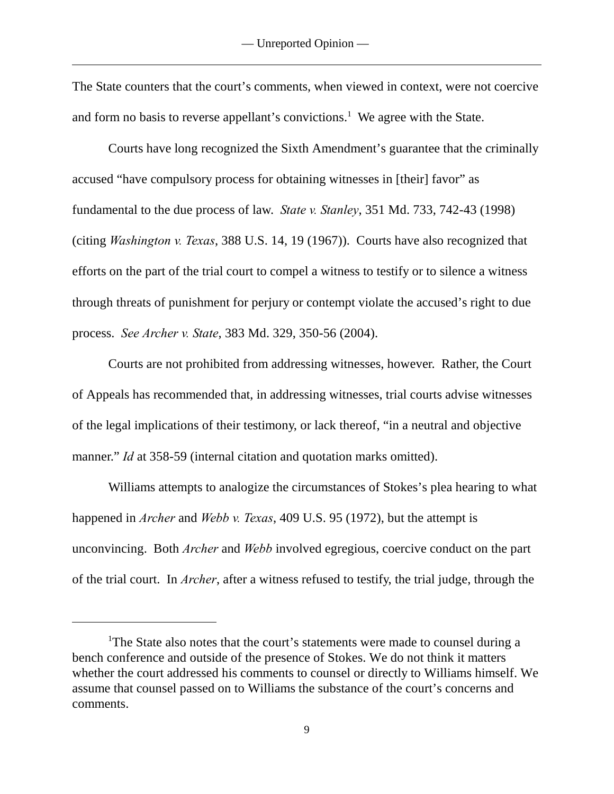The State counters that the court's comments, when viewed in context, were not coercive and form no basis to reverse appellant's convictions.<sup>1</sup> We agree with the State.

Courts have long recognized the Sixth Amendment's guarantee that the criminally accused "have compulsory process for obtaining witnesses in [their] favor" as fundamental to the due process of law. *State v. Stanley*, 351 Md. 733, 742-43 (1998) (citing *Washington v. Texas*, 388 U.S. 14, 19 (1967)). Courts have also recognized that efforts on the part of the trial court to compel a witness to testify or to silence a witness through threats of punishment for perjury or contempt violate the accused's right to due process. *See Archer v. State*, 383 Md. 329, 350-56 (2004).

Courts are not prohibited from addressing witnesses, however. Rather, the Court of Appeals has recommended that, in addressing witnesses, trial courts advise witnesses of the legal implications of their testimony, or lack thereof, "in a neutral and objective manner." *Id* at 358-59 (internal citation and quotation marks omitted).

Williams attempts to analogize the circumstances of Stokes's plea hearing to what happened in *Archer* and *Webb v. Texas*, 409 U.S. 95 (1972), but the attempt is unconvincing. Both *Archer* and *Webb* involved egregious, coercive conduct on the part of the trial court. In *Archer*, after a witness refused to testify, the trial judge, through the

<sup>&</sup>lt;sup>1</sup>The State also notes that the court's statements were made to counsel during a bench conference and outside of the presence of Stokes. We do not think it matters whether the court addressed his comments to counsel or directly to Williams himself. We assume that counsel passed on to Williams the substance of the court's concerns and comments.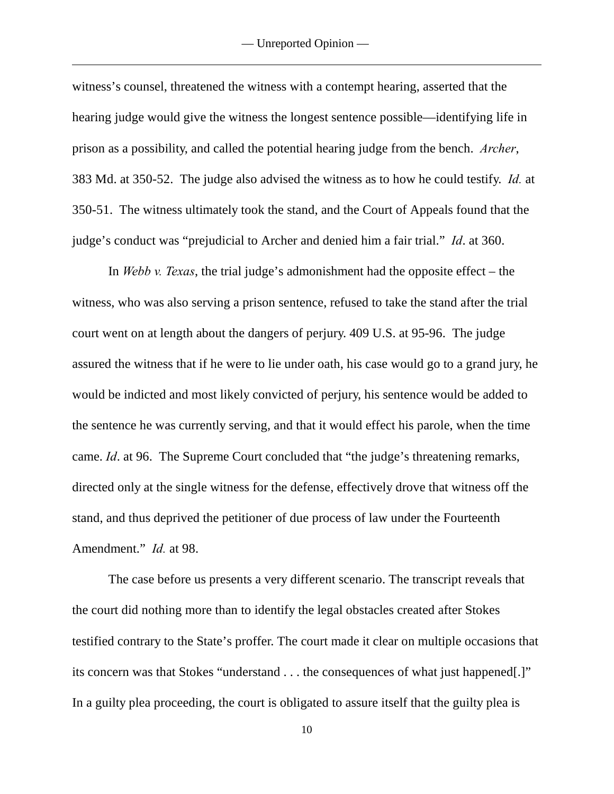witness's counsel, threatened the witness with a contempt hearing, asserted that the hearing judge would give the witness the longest sentence possible—identifying life in prison as a possibility, and called the potential hearing judge from the bench. *Archer*, 383 Md. at 350-52. The judge also advised the witness as to how he could testify. *Id.* at 350-51. The witness ultimately took the stand, and the Court of Appeals found that the judge's conduct was "prejudicial to Archer and denied him a fair trial." *Id*. at 360.

In *Webb v. Texas*, the trial judge's admonishment had the opposite effect – the witness, who was also serving a prison sentence, refused to take the stand after the trial court went on at length about the dangers of perjury. 409 U.S. at 95-96. The judge assured the witness that if he were to lie under oath, his case would go to a grand jury, he would be indicted and most likely convicted of perjury, his sentence would be added to the sentence he was currently serving, and that it would effect his parole, when the time came. *Id*. at 96. The Supreme Court concluded that "the judge's threatening remarks, directed only at the single witness for the defense, effectively drove that witness off the stand, and thus deprived the petitioner of due process of law under the Fourteenth Amendment." *Id.* at 98.

The case before us presents a very different scenario. The transcript reveals that the court did nothing more than to identify the legal obstacles created after Stokes testified contrary to the State's proffer. The court made it clear on multiple occasions that its concern was that Stokes "understand . . . the consequences of what just happened[.]" In a guilty plea proceeding, the court is obligated to assure itself that the guilty plea is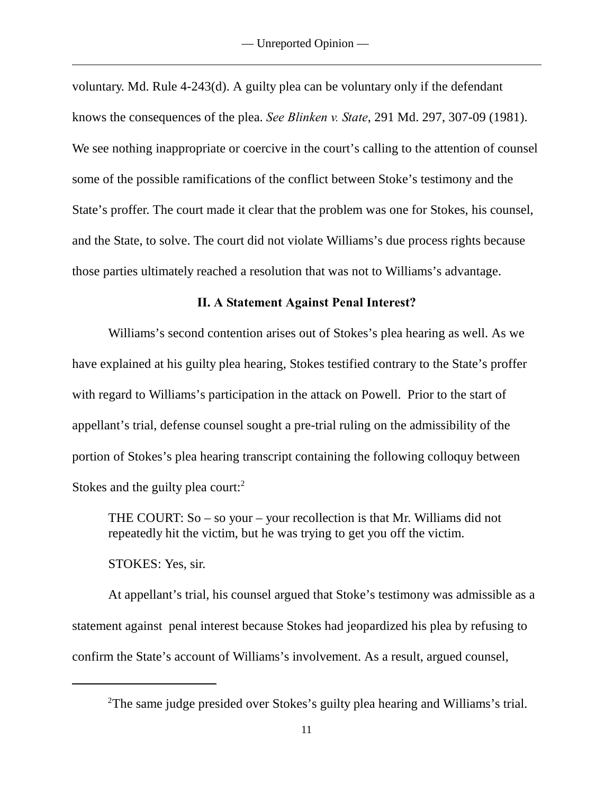voluntary. Md. Rule 4-243(d). A guilty plea can be voluntary only if the defendant knows the consequences of the plea. *See Blinken v. State*, 291 Md. 297, 307-09 (1981). We see nothing inappropriate or coercive in the court's calling to the attention of counsel some of the possible ramifications of the conflict between Stoke's testimony and the State's proffer. The court made it clear that the problem was one for Stokes, his counsel, and the State, to solve. The court did not violate Williams's due process rights because those parties ultimately reached a resolution that was not to Williams's advantage.

#### **II. A Statement Against Penal Interest?**

Williams's second contention arises out of Stokes's plea hearing as well. As we have explained at his guilty plea hearing, Stokes testified contrary to the State's proffer with regard to Williams's participation in the attack on Powell. Prior to the start of appellant's trial, defense counsel sought a pre-trial ruling on the admissibility of the portion of Stokes's plea hearing transcript containing the following colloquy between Stokes and the guilty plea court: $2^2$ 

THE COURT: So – so your – your recollection is that Mr. Williams did not repeatedly hit the victim, but he was trying to get you off the victim.

STOKES: Yes, sir.

At appellant's trial, his counsel argued that Stoke's testimony was admissible as a statement against penal interest because Stokes had jeopardized his plea by refusing to confirm the State's account of Williams's involvement. As a result, argued counsel,

<sup>&</sup>lt;sup>2</sup>The same judge presided over Stokes's guilty plea hearing and Williams's trial.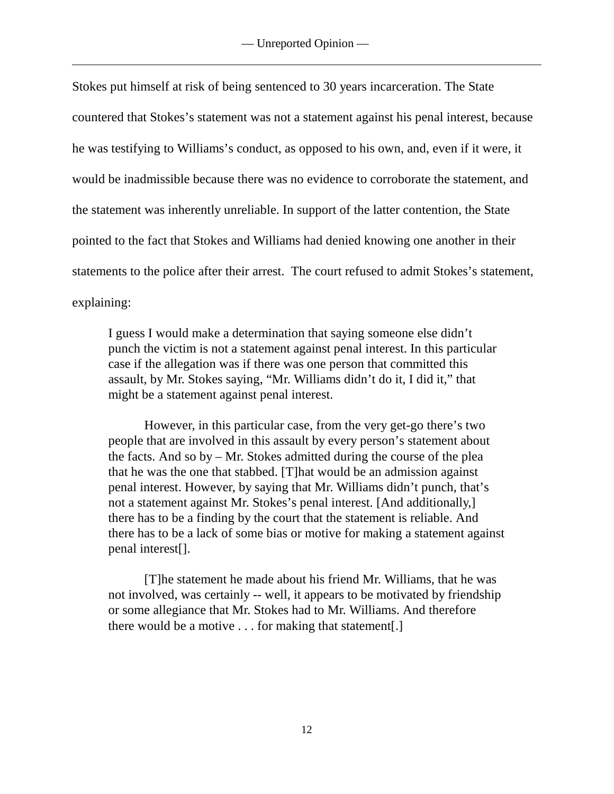Stokes put himself at risk of being sentenced to 30 years incarceration. The State countered that Stokes's statement was not a statement against his penal interest, because he was testifying to Williams's conduct, as opposed to his own, and, even if it were, it would be inadmissible because there was no evidence to corroborate the statement, and the statement was inherently unreliable. In support of the latter contention, the State pointed to the fact that Stokes and Williams had denied knowing one another in their statements to the police after their arrest. The court refused to admit Stokes's statement, explaining:

I guess I would make a determination that saying someone else didn't punch the victim is not a statement against penal interest. In this particular case if the allegation was if there was one person that committed this assault, by Mr. Stokes saying, "Mr. Williams didn't do it, I did it," that might be a statement against penal interest.

However, in this particular case, from the very get-go there's two people that are involved in this assault by every person's statement about the facts. And so by – Mr. Stokes admitted during the course of the plea that he was the one that stabbed. [T]hat would be an admission against penal interest. However, by saying that Mr. Williams didn't punch, that's not a statement against Mr. Stokes's penal interest. [And additionally,] there has to be a finding by the court that the statement is reliable. And there has to be a lack of some bias or motive for making a statement against penal interest[].

[T]he statement he made about his friend Mr. Williams, that he was not involved, was certainly -- well, it appears to be motivated by friendship or some allegiance that Mr. Stokes had to Mr. Williams. And therefore there would be a motive . . . for making that statement[.]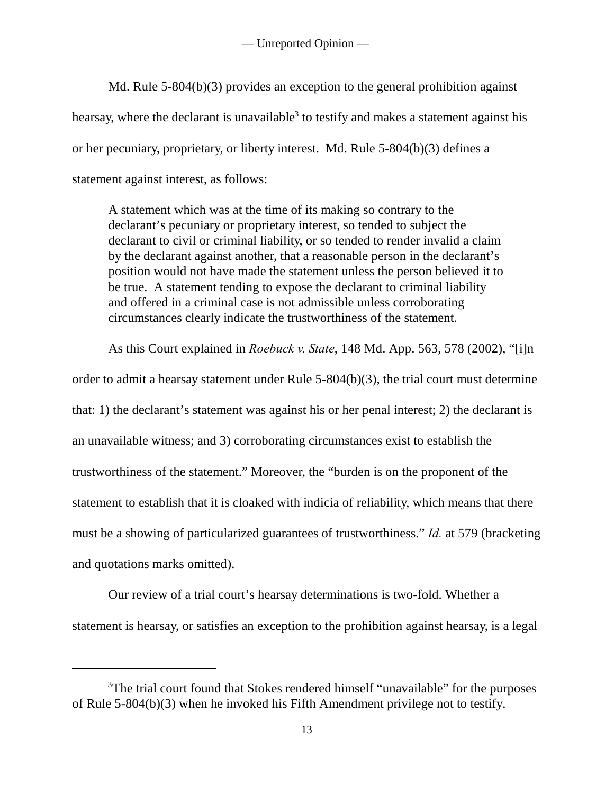Md. Rule 5-804(b)(3) provides an exception to the general prohibition against hearsay, where the declarant is unavailable<sup>3</sup> to testify and makes a statement against his or her pecuniary, proprietary, or liberty interest. Md. Rule 5-804(b)(3) defines a statement against interest, as follows:

A statement which was at the time of its making so contrary to the declarant's pecuniary or proprietary interest, so tended to subject the declarant to civil or criminal liability, or so tended to render invalid a claim by the declarant against another, that a reasonable person in the declarant's position would not have made the statement unless the person believed it to be true. A statement tending to expose the declarant to criminal liability and offered in a criminal case is not admissible unless corroborating circumstances clearly indicate the trustworthiness of the statement.

As this Court explained in *Roebuck v. State*, 148 Md. App. 563, 578 (2002), "[i]n order to admit a hearsay statement under Rule 5-804(b)(3), the trial court must determine that: 1) the declarant's statement was against his or her penal interest; 2) the declarant is an unavailable witness; and 3) corroborating circumstances exist to establish the trustworthiness of the statement." Moreover, the "burden is on the proponent of the statement to establish that it is cloaked with indicia of reliability, which means that there must be a showing of particularized guarantees of trustworthiness." *Id.* at 579 (bracketing and quotations marks omitted).

Our review of a trial court's hearsay determinations is two-fold. Whether a statement is hearsay, or satisfies an exception to the prohibition against hearsay, is a legal

<sup>&</sup>lt;sup>3</sup>The trial court found that Stokes rendered himself "unavailable" for the purposes of Rule 5-804(b)(3) when he invoked his Fifth Amendment privilege not to testify.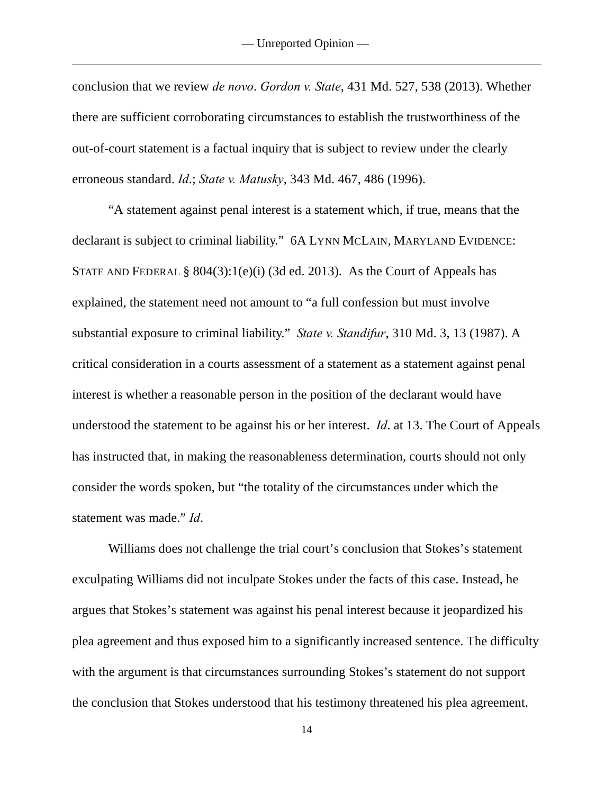conclusion that we review *de novo*. *Gordon v. State*, 431 Md. 527, 538 (2013). Whether there are sufficient corroborating circumstances to establish the trustworthiness of the out-of-court statement is a factual inquiry that is subject to review under the clearly erroneous standard. *Id*.; *State v. Matusky*, 343 Md. 467, 486 (1996).

"A statement against penal interest is a statement which, if true, means that the declarant is subject to criminal liability." 6A LYNN MCLAIN, MARYLAND EVIDENCE: STATE AND FEDERAL §  $804(3):1(e)(i)$  (3d ed. 2013). As the Court of Appeals has explained, the statement need not amount to "a full confession but must involve substantial exposure to criminal liability." *State v. Standifur*, 310 Md. 3, 13 (1987). A critical consideration in a courts assessment of a statement as a statement against penal interest is whether a reasonable person in the position of the declarant would have understood the statement to be against his or her interest. *Id*. at 13. The Court of Appeals has instructed that, in making the reasonableness determination, courts should not only consider the words spoken, but "the totality of the circumstances under which the statement was made." *Id*.

Williams does not challenge the trial court's conclusion that Stokes's statement exculpating Williams did not inculpate Stokes under the facts of this case. Instead, he argues that Stokes's statement was against his penal interest because it jeopardized his plea agreement and thus exposed him to a significantly increased sentence. The difficulty with the argument is that circumstances surrounding Stokes's statement do not support the conclusion that Stokes understood that his testimony threatened his plea agreement.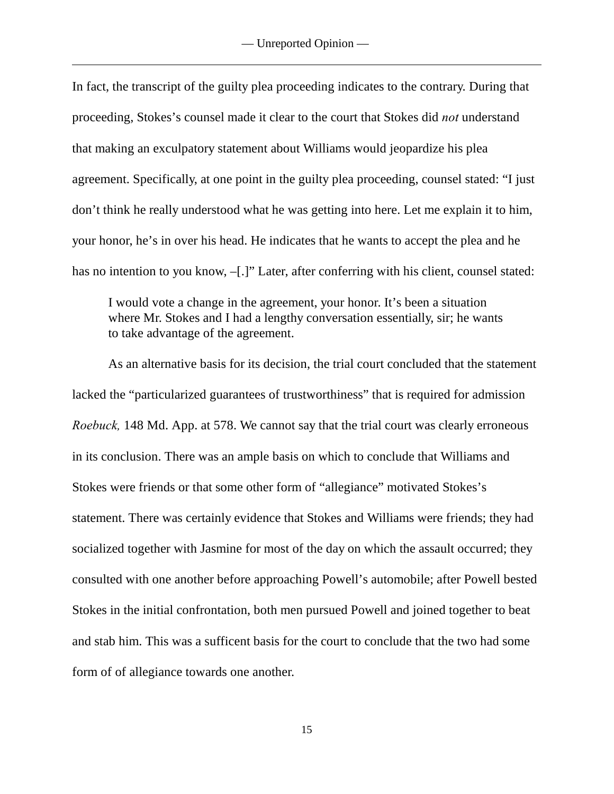In fact, the transcript of the guilty plea proceeding indicates to the contrary. During that proceeding, Stokes's counsel made it clear to the court that Stokes did *not* understand that making an exculpatory statement about Williams would jeopardize his plea agreement. Specifically, at one point in the guilty plea proceeding, counsel stated: "I just don't think he really understood what he was getting into here. Let me explain it to him, your honor, he's in over his head. He indicates that he wants to accept the plea and he has no intention to you know,  $-[.]$ " Later, after conferring with his client, counsel stated:

I would vote a change in the agreement, your honor. It's been a situation where Mr. Stokes and I had a lengthy conversation essentially, sir; he wants to take advantage of the agreement.

As an alternative basis for its decision, the trial court concluded that the statement lacked the "particularized guarantees of trustworthiness" that is required for admission *Roebuck,* 148 Md. App. at 578. We cannot say that the trial court was clearly erroneous in its conclusion. There was an ample basis on which to conclude that Williams and Stokes were friends or that some other form of "allegiance" motivated Stokes's statement. There was certainly evidence that Stokes and Williams were friends; they had socialized together with Jasmine for most of the day on which the assault occurred; they consulted with one another before approaching Powell's automobile; after Powell bested Stokes in the initial confrontation, both men pursued Powell and joined together to beat and stab him. This was a sufficent basis for the court to conclude that the two had some form of of allegiance towards one another.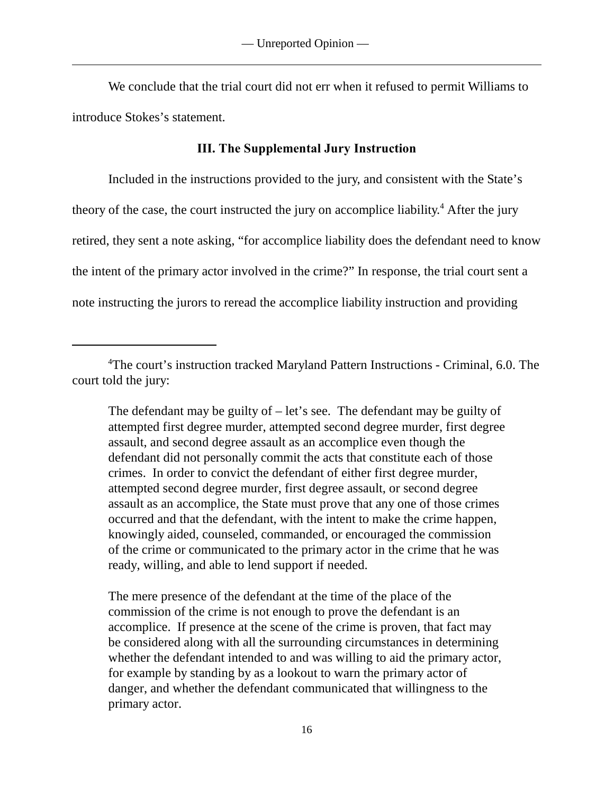We conclude that the trial court did not err when it refused to permit Williams to introduce Stokes's statement.

## **III. The Supplemental Jury Instruction**

Included in the instructions provided to the jury, and consistent with the State's theory of the case, the court instructed the jury on accomplice liability.<sup>4</sup> After the jury retired, they sent a note asking, "for accomplice liability does the defendant need to know the intent of the primary actor involved in the crime?" In response, the trial court sent a note instructing the jurors to reread the accomplice liability instruction and providing

The defendant may be guilty of  $-\text{let's see}$ . The defendant may be guilty of attempted first degree murder, attempted second degree murder, first degree assault, and second degree assault as an accomplice even though the defendant did not personally commit the acts that constitute each of those crimes. In order to convict the defendant of either first degree murder, attempted second degree murder, first degree assault, or second degree assault as an accomplice, the State must prove that any one of those crimes occurred and that the defendant, with the intent to make the crime happen, knowingly aided, counseled, commanded, or encouraged the commission of the crime or communicated to the primary actor in the crime that he was ready, willing, and able to lend support if needed.

The mere presence of the defendant at the time of the place of the commission of the crime is not enough to prove the defendant is an accomplice. If presence at the scene of the crime is proven, that fact may be considered along with all the surrounding circumstances in determining whether the defendant intended to and was willing to aid the primary actor, for example by standing by as a lookout to warn the primary actor of danger, and whether the defendant communicated that willingness to the primary actor.

<sup>&</sup>lt;sup>4</sup>The court's instruction tracked Maryland Pattern Instructions - Criminal, 6.0. The court told the jury: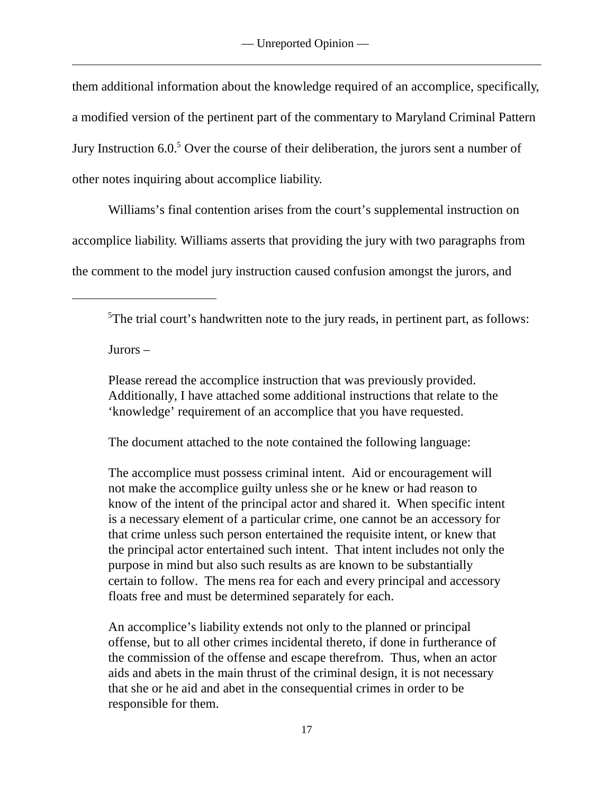them additional information about the knowledge required of an accomplice, specifically, a modified version of the pertinent part of the commentary to Maryland Criminal Pattern Jury Instruction  $6.0<sup>5</sup>$  Over the course of their deliberation, the jurors sent a number of other notes inquiring about accomplice liability.

Williams's final contention arises from the court's supplemental instruction on accomplice liability. Williams asserts that providing the jury with two paragraphs from the comment to the model jury instruction caused confusion amongst the jurors, and

 $5$ The trial court's handwritten note to the jury reads, in pertinent part, as follows:

Jurors –

Please reread the accomplice instruction that was previously provided. Additionally, I have attached some additional instructions that relate to the 'knowledge' requirement of an accomplice that you have requested.

The document attached to the note contained the following language:

The accomplice must possess criminal intent. Aid or encouragement will not make the accomplice guilty unless she or he knew or had reason to know of the intent of the principal actor and shared it. When specific intent is a necessary element of a particular crime, one cannot be an accessory for that crime unless such person entertained the requisite intent, or knew that the principal actor entertained such intent. That intent includes not only the purpose in mind but also such results as are known to be substantially certain to follow. The mens rea for each and every principal and accessory floats free and must be determined separately for each.

An accomplice's liability extends not only to the planned or principal offense, but to all other crimes incidental thereto, if done in furtherance of the commission of the offense and escape therefrom. Thus, when an actor aids and abets in the main thrust of the criminal design, it is not necessary that she or he aid and abet in the consequential crimes in order to be responsible for them.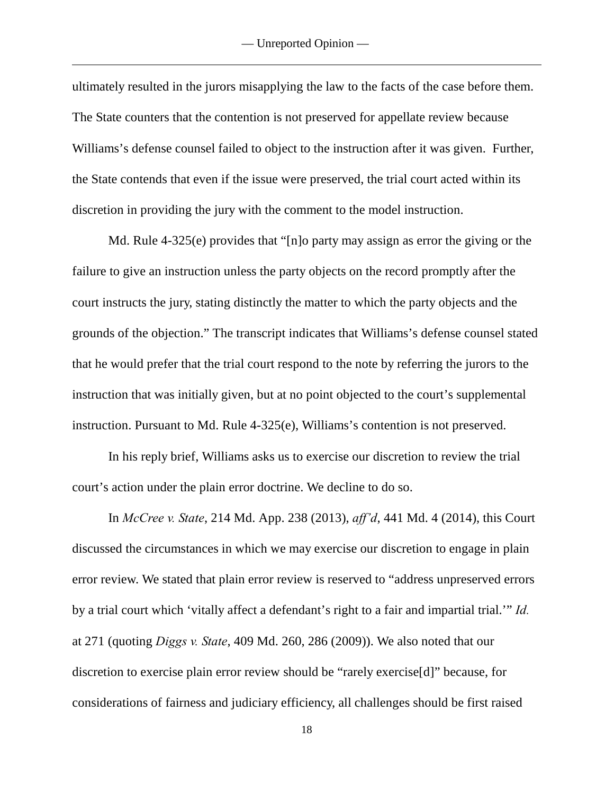ultimately resulted in the jurors misapplying the law to the facts of the case before them. The State counters that the contention is not preserved for appellate review because Williams's defense counsel failed to object to the instruction after it was given. Further, the State contends that even if the issue were preserved, the trial court acted within its discretion in providing the jury with the comment to the model instruction.

Md. Rule 4-325(e) provides that "[n]o party may assign as error the giving or the failure to give an instruction unless the party objects on the record promptly after the court instructs the jury, stating distinctly the matter to which the party objects and the grounds of the objection." The transcript indicates that Williams's defense counsel stated that he would prefer that the trial court respond to the note by referring the jurors to the instruction that was initially given, but at no point objected to the court's supplemental instruction. Pursuant to Md. Rule 4-325(e), Williams's contention is not preserved.

In his reply brief, Williams asks us to exercise our discretion to review the trial court's action under the plain error doctrine. We decline to do so.

In *McCree v. State*, 214 Md. App. 238 (2013), *aff'd*, 441 Md. 4 (2014), this Court discussed the circumstances in which we may exercise our discretion to engage in plain error review. We stated that plain error review is reserved to "address unpreserved errors by a trial court which 'vitally affect a defendant's right to a fair and impartial trial.'" *Id.* at 271 (quoting *Diggs v. State*, 409 Md. 260, 286 (2009)). We also noted that our discretion to exercise plain error review should be "rarely exercise[d]" because, for considerations of fairness and judiciary efficiency, all challenges should be first raised